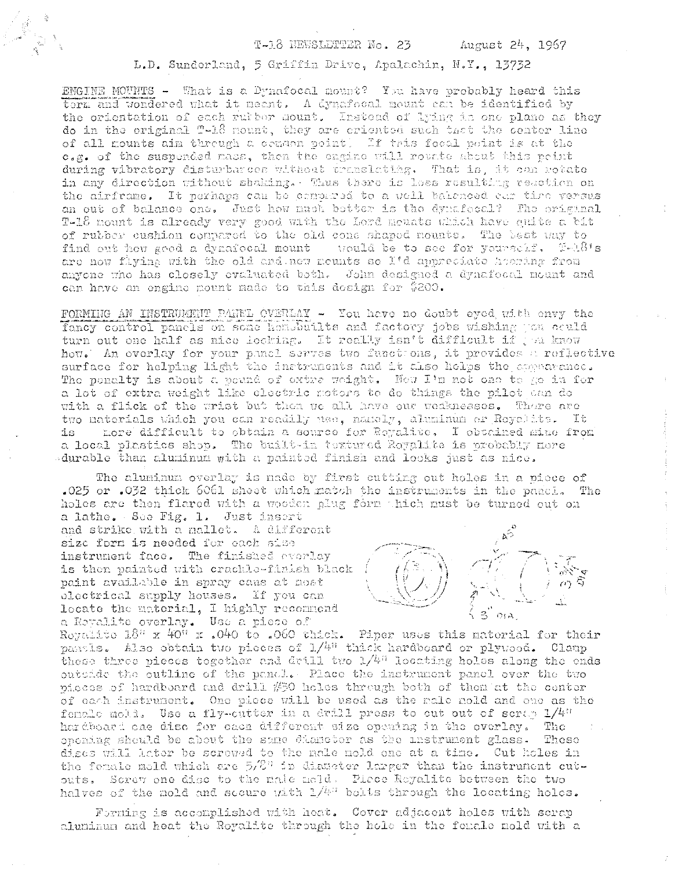## T-18 NEWSLETTER No. 23

L.D. Sunderland, 5 Griffin Drive, Apalachin, N.Y., 13732

ENGINE MOUNTS - What is a Dynafocal mount? You have probably heard this term and wondered what it meant. A dynafocal mount can be identified by the orientation of each rutber nount. Instead of lying in one plane as they do in the original T-18 nount, they are criented such that the center line of all mounts aim through a common point! If this focal point is at the c.g. of the suspended mass, then the engine will rounte about this point during vibratory disturbances without translating. That is, it can retate in any direction without shaking. Thus there is less resulting reaction on the airframe. It perhaps can be compared to a well balanced can time versus an out of balance one. Just how much better is the dynafecal? The original T-18 nount is already very good with the Lord meuats which have quite a bit of rubber cushion compared to the old cone shaped nounts. The best way to find out how good a dynafocal mount would be to see for yoursclf. FAA's are now flying with the old and new meunts so I'd appreciate hearing from anyone who has closely evaluated both. John designed a dynafocal mount and can have an engine mount made to this design for \$200.

FORMING AN INSTRUMENT PANEL CVERLAY - You have no doubt eyed with envy the fancy control panels on some hon-builts and factory jobs wishing you could turn out one half as nice looking. It really isn't difficult if you know how. An overlay for your panel serves two functions, it provides a reflective surface for helping light the instruments and it also helps the appearance. The penalty is about a peund of extra weight. Now I'm not one to go in for a lot of extra weight like electric notors to do things the pilot can do with a flick of the wrist but then we all have our veaknesses. There are two naterials which you can readily use, namely, aluminum or Reyaltte. It is more difficult to obtain a source for Royalite, I obtained mine from a local plastics shop. The built-in textured Regulite is probably nore durable than aluminum with a painted finish and looks just as nice.

The aluminum overlay is made by first cutting out holes in a piece of .025 or .032 thick 6061 shoot which match the instruments in the panci. The holes are then flared with a wooden plug form thich must be turned out on a lathe. See Fig. 1. Just insert

and strike with a nallet. A different size form is needed for each size instrument face. The finished everlay is then painted with crackle-finish black paint available in spray cans at nost electrical supply houses. If you can locate the material, I highly recommend a Royalite overlay. Use a piece of

Repulsive  $18^n$  x  $40^n$  x .040 to .060 thick. Piper uses this material for their pantls. Also obtain two pieces of 1/4" thick hardboard or plywood. Claup these three pieces together and drill two  $1/4^n$  locating holes along the ends outside the outline of the panel. Place the instrument panel over the two pieces of hardboard and drill #50 holes through both of them at the center of each instrument. One piece will be used as the rale nold and ene as the fomale moli. Use a fly-cutter in a drill press to cut out of serar 1/4" hardboard one disc for each different size opening in the overlay. The oponing should be about the same diameter as the unstrument glass. These diges will later be screwed to the nale nold one at a time. Cut holes in the female mold which are  $5/8$ <sup>7</sup> in diameter larger than the instrument cutouts. Screw one disc to the nale meld. Picce Reyalite between the two halves of the mold and sceure with  $1/4$ <sup>1</sup> bolts through the locating holes.

Forning is accomplished with heat. Cover adjacent holes with scrap aluminum and heat the Royalite through the hole in the female mold with a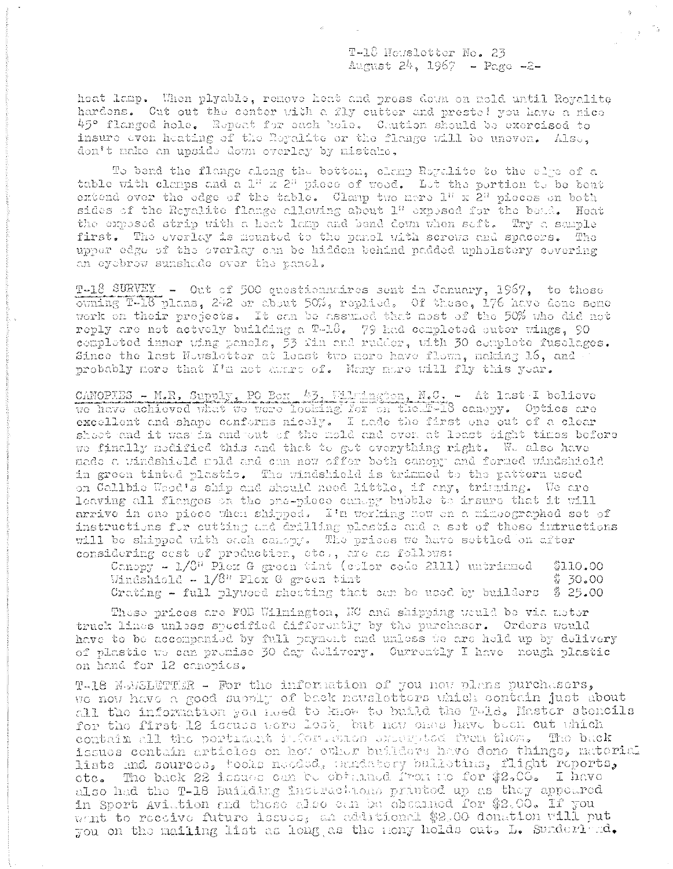T-18 Newsletter No. 23 August 24, 1967 - Page -2-

heat lamp. When plyable, remove heat and press down on mold until Royalite hardons. Cut out the conter with a fly cutter and prestel you have a nice 45° flanged hole. Repeat for each hole. Caution should be exercised to insure even heating of the Reyalite or the flange will be uneven. Also, don't nake an upside down overlay by mistake,

To bend the flange along the bottom, clamp Royalite to the circ of a table with clamps and a 1" x 2" piece of wood. Let the pertion to be bent extend over the edge of the table. Clamp two mere  $1^n$  x  $2^n$  pieces on both sides of the Reyalite flange allowing about 1" exposed for the bead. Heat the expessed strip with a heat lamp and bend down when seft. Try a sample first. The overlay is meanted to the panel with screws and spacers. The upper edge of the overlay can be hidden behind padded upholstery covering an eyebrow sunshade over the panel.

T-18 SURVEY - Out of 500 questionadires sent in January, 1967, to these ouning T-18 plans, 242 or about 50%, replied. Of these, 176 have done some work on their projects. It can be assumed that most of the 50% who did not reply are not actvely building a T-18. 79 had completed suter wings, 90 completed inner wing panels, 53 fin and rudder, with 30 complete fuselages. Since the last Nowsletter at least two more have flown, making 16, and probably more that I'm not aware of. Many more will fly this year.

CANOPIES - M.R. Supply, PO Box 43, Wilmington, N.C. - At last I believe we have achieved what we were looking for on the F-18 canepy. Optics are excellent and shape conforms nicely. I nade the first one out of a clear sheet and it was in and out of the mold and over, at least sight times before we finally medified this and that to get everything right. We also have nade a windshield mold and can now offer both canopy and formed windshield in green tinted plastic. The windshield is trimmed to the pattern used on Callbie Wood's ship and should need little, if any, trimning. We are leaving all flanges on the pheepiece canagy bubble to insure that it will arrive in one piece when shipped. I'm working now on a mimeegraphed set of instructions for cutting and drilling plastic and a set of these intructions will be shipped with each canony. The prices we have settled on after considering cost of production, etc., are as follows:

Canopy -  $1/6$ <sup>n</sup> Plox G green tint (color code 2111) untrinned \$110.00 Windshield - 1/8" Plex G green tint \$ 30.00 Crating - full plywood shooting that oan be used by builders  $$25.00$ 

Those prices are FOB Wilmington, NC and shipping weuld be via motor truck lines unless specified differently by the purchaser. Orders would have to be accompanied by full payment and unless to are held up by delivery of plastic we can premise 30 day delivery. Currently I have mough plastic on hand for 12 canopics.

T-18 NewSLETTER - For the information of you now plans purchasers, we now have a good supply of back newsletters which contain just about all the information you heed to know to build the Tele. Master stencils for the first 12 iscuss were lest, but now enes have been out which contain all the portracht information system from those. The back issues contain articles on how ether builders have done things, naterial lists and sources, tooks needed, usudatory bulketins, flight reports, ote. The back 22 issues can be obtained from no for \$2.00. I have also had the T-18 Building Indirections printed up as they appeared in Sport Aviation and those also can be abcained for \$2.00. If you want to receive future issues, an additional \$2.00 donation will put you on the mailing list as long as the mony holds out. L. Sunderland.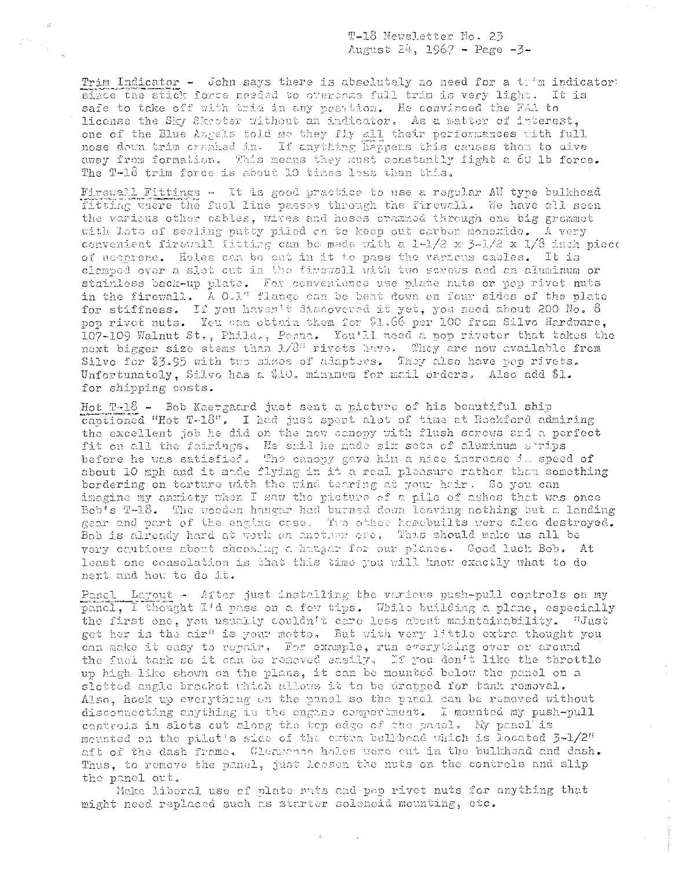T-18 Newsletter No. 23 August 24, 1967 - Page -3-

Trim Indicator - John says there is absolutely no need for a trim indicator: since the stick force needed to overcome full trim is very light. It is safe to take off with tria in any posttion. He convinced the FAA to license the Sky Skeeter without an indicator. As a matter of interest, one of the Blue Angels told me they fly all their performances with full nose down trim cranked in. If anything happens this causes then to dive away from formation. This means they must constantly fight a 60 lb force. The T-18 trim force is about 10 times less than this.

Firewall Fittings - It is good practice to use a regular AW type bulkhead fitting where the fuel line passes through the firewall. We have all seen the various other cables, wites and hoses crammod through one big grommet with lots of sealing putty piled on to keep out carbon monoxide. A very convenient firewall fitting can be made with a 1-1/2 x 3-1/2 x 1/8 inch piece of neeprene. Holes can be out in it to pass the various cables. It is clamped over a slot out in the firowall with two screws and an aluminum or stainless back-up plate. For convenience use plate nuts or pop rivet nuts in the firewall. A O.1" flange can be bent down on four sides of the plate for stiffness. If you haven't discovered it yet, you need about 200 No. 8 pop rivet nuts. You can obtain them for \$1.66 per 100 from Silvo Hardware, 107-109 Walnut St., Phila., Pesna. You'll need a pop riveter that takes the next bigger size stems than  $L/8^{\alpha}$  rivets have. They are now available from Silvo for \$3.95 with two sizes of adapters. They also have pop rivets. Unfortunately, Silvo has a \$10. minimum for mail orders. Also add \$1. for shipping costs.

Hot T-18 - Bob Kaergaard just sent a picture of his beautiful ship captioned "Hot T-18". I had just spent alot of time at Rockford admiring the excellent job he did on the new canopy with flush screws and a perfect fit on all the fairings. He said he made six sets of aluminum strips before he was satisfied. The canopy gave him a nice increase it speed of about 10 mph and it made flying in it a real pleasure rather than something bordering on torture with the wind tearing at your hair. So you can imagine my anxiety when I saw the picture of a pile of ashes that was once Bob's T-18. The wooden hangar had burned down leaving nothing but a landing gear and part of the engine case. The other hemebuilts were also destroyed. Bob is already hard at work on another ore. This should make us all be very cautions about choosing a hanger for our planes. Good luck Bob. At least one consolation is that this time you will know exactly what to do next and how to do it.

Panel Layout - After just installing the various push-pull controls on my panel, I thought I'd pass on a few tips. While building a plane, especially the first one, you usually couldn't care less about maintainability. "Just get her in the air" is your motto. But with very little extra thought you can make it easy to repair. For example, run everything over or around the fuel tank so it can be removed easily. If you don't like the throttle up high like shown on the plans, it can be mounted below the panel on a slotted angle bracket which allows it to be dropped for tank removal. Also, hook up everything on the panel so the panel can be removed without discornecting anything in the engine compartment. I mounted my push-pull controls in slots cut along the tep edge of the panel, My panel is mounted on the pilot's side of the extra bulkhead which is located 3-1/2" aft of the dash frame. Cleasence holes were cut in the bulkhead and dash. Thus, to remove the panel, just leesen the nuts on the controls and slip the panel out.

Make liberal use of plate mits and pop rivet nuts for anything that might need replaced such as starter solenoid mounting, otc.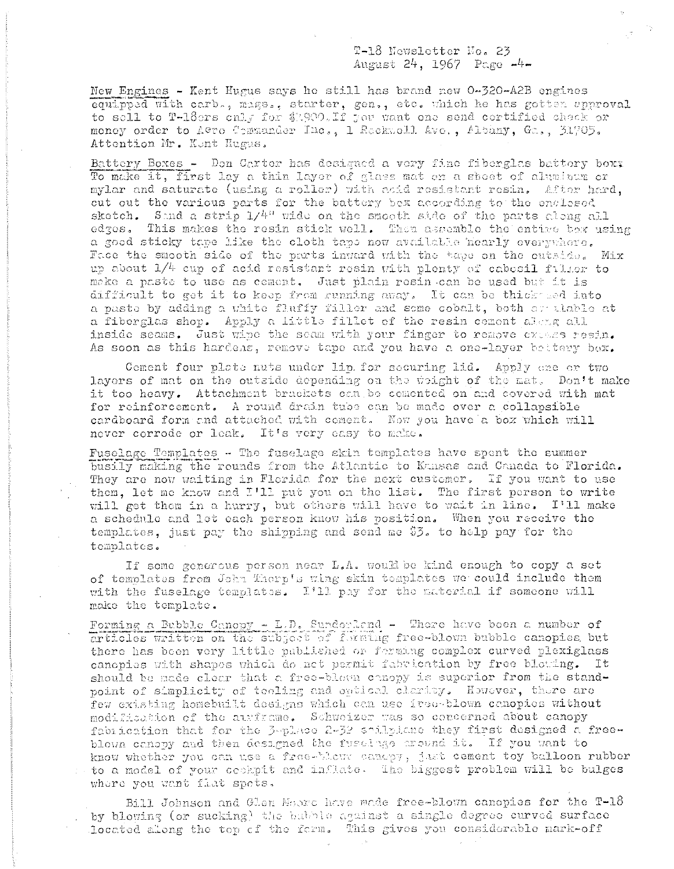## T-18 Newsletter No. 23 August 24, 1967 Page -4-

New Engines - Kent Hugus says he still has brand new 0-320-A2B engines equipped with carb., mags., starter, gen., etc. which he has gotten approval to sell to T-18ers only for \$1,900. If you want one send certified chack or money order to A@ro Cemmander Inc., 1 Reckwell Ave., Albany, Ga., 31705. Attention Mr. Kent Hugus.

Battery Boxes - Don Carter has designed a very fine fiberglas battery boxx To make it, first lay a thin layer of glass mat on a sheet of aluminum or mylar and saturate (using a roller) with acid resistant resin. After hard, cut out the various parts for the battery bex according to the enclosed sketch. Sand a strip 1/4" wide on the smooth side of the parts along all edges. This makes the resin stick well. Then assemble the entire box using a good sticky tape like the cloth tape now available nearly everywhere. Face the smooth side of the parts inward with the tape on the cutside. Mix up about  $1/4$  cup of acid resistant resin with plenty of cabesil filler to make a paste to use as coment. Just plain resin can be used but it is difficult to get it to keep from running away. It can be thick med into a paste by adding a white fluffy filler and some cobalt, both ar alable at a fiberglas shop. Apply a little fillet of the resin cement along all inside seams. Just wine the seam with your finger to remove excass resin. As soon as this hardens, remove tape and you have a one-layer bettery bex.

Coment four plate nuts under lip for securing lid. Apply ane or two layers of mat on the outside depending on the weight of the mat. Don't make it too heavy. Attachment brackets can be comented on and covered with mat for reinforcement. A round drain tube can be made over a collapsible cardboard form and attached with coment. Now you have a box which will never corrode or leak. It's very easy to make.

Fuselage Templates - The fuselage skin templates have spent the summer busily making the rounds from the Atlantic to Kansas and Canada to Florida. They are now waiting in Florida for the next customer. If you want to use them, let me know and I'll put you on the list. The first person to write will get them in a hurry, but others will have to wait in line. I'll make a schedule and let each person know his position. When you receive the templates, just pay the shipping and send me \$3. to help pay for the templates.

If some generous person near L.A. would be kind enough to copy a set of templates from John Thorp's wing skin templates we could include them with the fuselage templates. I'll pay for the material if someone will make the template.

Forming a Bubble Canopy - L.D. Sunderland - There have been a number of articles written on the subject of forming free-blown bubble canopies but there has been very little published or ferming complex curved plexiglass canopies with shapes which do not permit fabrication by free blowing. It should be made clear that a free-blown conopy is superior from the standpoint of simplicity of tooling and optical clarity. However, there are few existing homebuilt designs which can use free-blown canopies without modification of the auxframe. Schweizer was so concerned about canopy fabrication that for the 3-place 2-32 spilplane they first designed a freeblown canopy and then designed the fuscinge around it. If you want to know whether you can use a free-bloww canepy, just cement toy balloon rubber to a model of your cookpit and inflate. The biggest problem will be bulges where you want flat spets.

Bill Johnson and Glen Moore have made free-blown canopies for the T-18 by blowing (or sucking) the babble against a single degree curved surface located along the tep of the form. This gives you considerable mark-off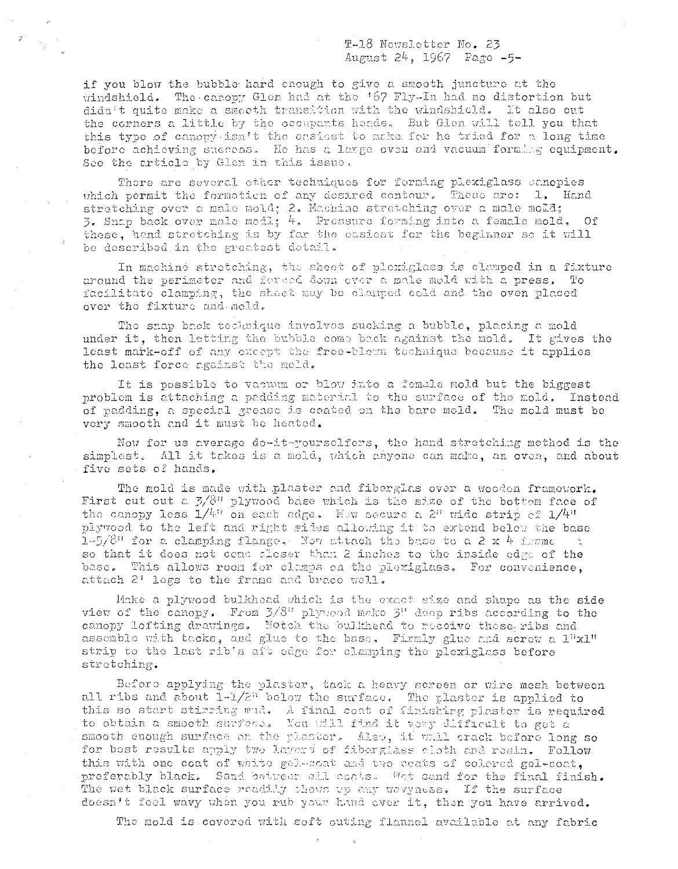T-18 Newsletter No. 23 August 24, 1967 Page -5-

if you blow the bubble hard enough to give a smooth juncture at the windshield. The canopy Glon had at the '67 Fly-In had no distortion but didn't quite make a smooth transition with the windshield. It also cut the corners a little by the occupants heads. But Glen will tell you that this type of canopy isn't the casiest to make for he tried for a long time before achieving success. He has a large oven and vacuum forming equipment. See the article by Glen in this issue.

There are several other techniques for forming plexiglass canopies which permit the formation of any desired contour. These are: 1. Hand stretching over a male mold; 2. Machine stretching over a male mold; 3. Snap back over male modl; 4. Pressure forming into a female mold, Of these, hand stretching is by far the casiest for the beginner so it will be described in the greatest detail.

In machine stretching, the sheet of plexiglass is clamped in a fixture around the perimeter and forced down ever a male mold with a press. To facilitate clamping, the sheet may be clamped cold and the oven placed over the fixture and meld.

The snap back technique involves sucking a bubble, placing a mold under it, then letting the bubble come back against the mold, It gives the least mark-off of any except the free-blown technique because it applies the least force against the mold.

It is possible to vacuum or blow into a female mold but the biggest problem is attaching a padding material to the surface of the mold. Instead of padding, a special grease is coated on the bare mold. The mold must be very smooth and it must be heated.

Now for us average do-it-yourselfers, the hand stretching method is the simplest. All it takes is a mold, which anyone can make, an oven, and about five sets of hands.

The mold is made with plaster and fiberglas over a wooden framework. First cut out a  $3/8$ " plywood base which is the size of the bottom face of the canopy less  $1/4^n$  on each odge. Now secure a 2" wide strip of  $1/4^n$ plywood to the left and right sides allowing it to extend below the base 1-5/8" for a clamping flange. Now attach the base to a 2 x 4 from  $\sim$ so that it does not come closer than 2 inches to the inside edge of the base. This allows roon for clamps on the plexiglass. For convenience, attach 2' legs to the frame and brace well.

Make a plywood bulkhead which is the exact size and shape as the side view of the canopy. From 3/8" plywood make 3" deep ribs according to the canopy lofting drawings. Notch the bulkhead to receive these ribs and assemble with tacks, and glue to the base. Firmly glue and screw a l"xl" strip to the last rib's aft edge for clamping the plexiglass before stretching.

Before applying the plaster, tack a heavy screen or wire mesh between all ribs and about 1-1/2<sup>n</sup> below the surface. The plaster is applied to this so start stirring wid. A final coat of finishing plaster is required to obtain a smooth surface. You will find it very difficult to get a smooth enough surface on the plaster. Also, it wall crack before long so for best results apply two layers of fiberglass cloth and resin. Follow this with one coat of white gelesoat and two ceats of colered gel-coat. preferably black. Sand between all coats. Wet sand for the final finish. The wet black surface readily shows up any wavyness. If the surface doesn't feel wavy when you rub your hand ever it, then you have arrived.

The mold is covered with soft outing flannel available at any fabric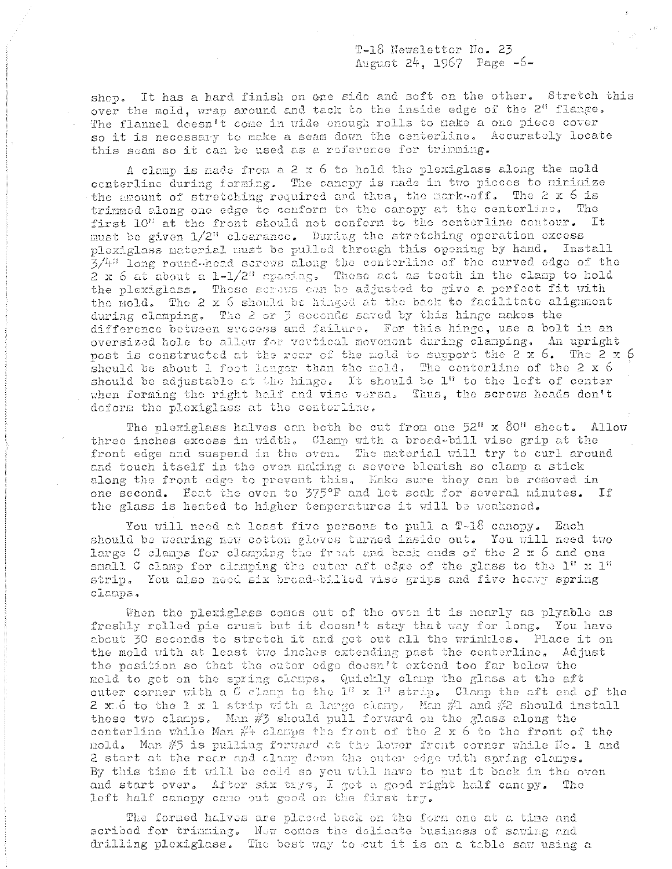T-18 Newsletter No. 23 August 24, 1967 Page -6-

shop. It has a hard finish on ene side and soft on the other. Stretch this over the mold, wrap around and tack to the inside edge of the 2" flange. The flannel doesn't come in wide enough rolls to make a one piece cover so it is necessary to make a seam down the centerline. Accurately locate this seam so it can be used as a reference for trimming.

A clemp is made from a 2 x 6 to hold the plexiglass along the mold centerline during forming. The canopy is nade in two pieces to minimize the amount of stretching required and thus, the mark-off. The 2 x 6 is trimmed along one edge to cenform to the caropy at the centerline. The first 10" at the front should not conform to the centerline contour. It must be given 1/2" clearance. During the stretching operation excess plexiglass material must be pulled through this opening by hand. Install 3/4" long round-head serows along the conterline of the curved edge of the 2 x 6 at about a 1-1/2" spacing. These act as teeth in the clamp to hold the plexiglass. These screws can be adjusted to give a perfect fit with the mold. The 2 x 6 should be hinged at the back to facilitate alignment during clamping. The 2 or 3 seconds saved by this hinge nakes the difference between success and failure. For this hinge, use a bolt in an oversized hole to allow for vertical movement during clamping. An upright post is constructed at the rear of the mold to support the 2 x 6. The 2 x 6 should be about 1 foot longer than the mold. The centerline of the 2 x 6 should be adjustable at the hinge. It should be 1" to the left of center when forming the right half and vise versa. Thus, the screws heads don't deform the plexiglass at the centerline.

The plexiglass halves can both be cut from one 52" x 80" sheet. Allow three inches excess in width. Clamp with a broad-bill vise grip at the front edge and suspend in the oven. The material will try to curl around and touch itself in the oven naking a severe blemish so clamp a stick along the front edge to provent this. Kake sure they can be removed in one second. Heat the oven to 375°F and let soak for several minutes. If the glass is heated to higher temperatures it will be weakened.

You will need at least five persons to pull a T-18 canopy. Each should be wearing new cotton gloves turned inside out. You will need two large C clamps for clamping the front and back ends of the 2 x 6 and one small C clamp for clamping the cuter aft edge of the glass to the  $1''$  x  $1''$ strip. You also need six broad-billed vise grips and five heavy spring clamps.

When the plexigless comes out of the oven it is nearly as plyable as freshly rolled pie crust but it doesn't stay that way for long. You have about 30 seconds to stretch it and get out all the wrinkles. Place it on the mold with at least two inches extending past the centerline. Adjust the position so that the outer edge doesn't extend too far below the mold to get on the spring clemps. Quickly clamp the glass at the aft outer corner with a C clamp to the 1" x 1" strip. Clamp the aft end of the 2 xt 6 to the 1 x 1 strip with a large clamp. Man  $\#1$  and  $\#2$  should install these two clamps. Man  $\#$ 3 should pull forward on the glass along the conterline while Man  $\#$  clamps the front of the 2 x 6 to the front of the mold. Man  $\#5$  is pulling forward at the lower front corner while No. 1 and 2 start at the rear and clamp down the outer edge with spring clamps. By this time it will be cold so you will have to put it back in the oven and start over. After six trys, I got a good right half canopy. The left half canopy came out good on the first try.

The formed halves are placed back on the form one at a time and scribed for trimming. Now comes the delicate business of sawing and drilling plexiglass. The best way to cut it is on a table saw using a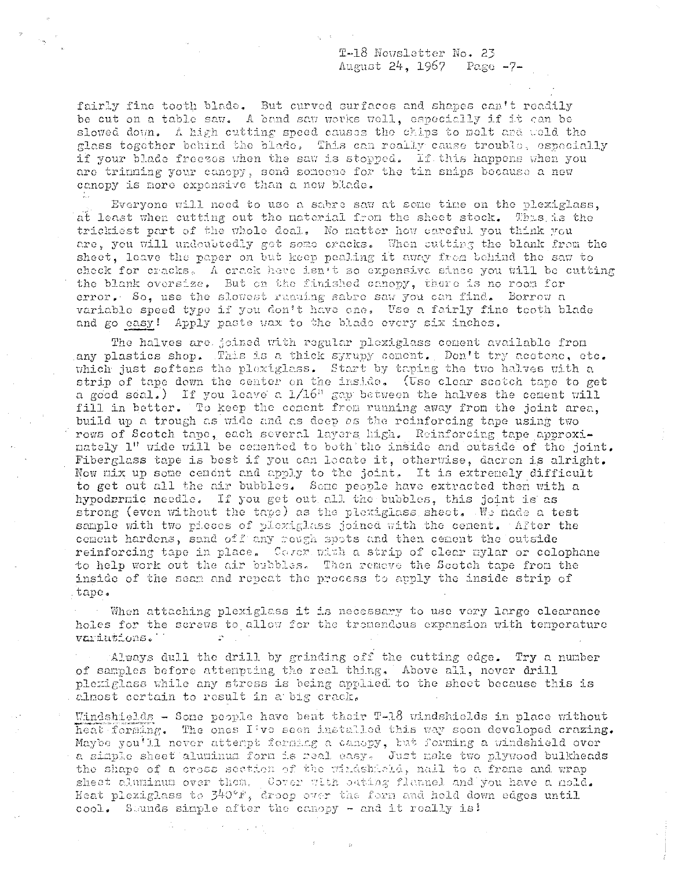T-18 Newsletter No. 23 August 24, 1967 Page -7-

fairly fine tooth blade. But curved surfaces and shapes can't readily be cut on a table saw. A band saw works well, especially if it can be slowed down. A high cutting speed causes the chips to melt and weld the glass together behind the blade. This can really cause trouble, especially if your blade freezes when the saw is stopped. If this happens when you are trinning your canopy, send someone for the tin snips because a new canopy is more expensive than a new blade.

Everyone will need to use a sabre saw at some time on the plexiglass. at least when cutting out the material from the sheet stock. This is the trickiest part of the whole deal. No natter how careful you think you are, you will undoubtedly get some cracks. When cutting the blank from the sheet, leave the paper on but keep pealing it away from behind the saw to check for cracks. A crack here isn't so expensive since you will be cutting the blank oversize. But on the finished canopy, there is no room for error. So, use the slowest ruaning sabre saw you can find. Borrow a variable speed type if you don't have one. Use a fairly fine tooth blade and go easy! Apply paste wax to the blade every six inches.

The halves are joined with regular plexiglass cement available from any plastics shop. This is a thick syrupy cement. Don't try acetone, etc. which just softens the plexiglass. Start by taping the two halves with a strip of tape dewn the center on the inside. (Use clear scotch tape to get a good scal.) If you leave a  $1/16$ <sup>n</sup> gap between the halves the cement will fill in better. To keep the coment from running away from the joint area. build up a trough as wide and as deep as the reinforcing tape using two rows of Scotch tape, each several layers high. Reinforcing tape approxinately 1" wide will be cenented to both the inside and outside of the joint. Fiberglass tape is best if you can locate it, otherwise, dacron is alright. Now mix up some cenent and apply to the joint. It is extremely difficult to get out all the air bubbles. Some people have extracted then with a hypodermic needle. If you get out all the bubbles, this joint is as strong (even without the tape) as the plexiglass sheet. We hade a test sample with two pieces of plexiglass joined with the cement. After the coment hardens, sand off any rough spots and then cement the outside reinforcing tape in place. Cover with a strip of clear mylar or colophane to help work out the air bubbles. Then remeve the Scotch tape from the inside of the seam and repeat the process to apply the inside strip of tape.

When attaching plexiglass it is necessary to use very large clearance holes for the screws to allow for the tromendous expansion with temperature variations.

Always dull the drill by grinding off the cutting edge. Try a number of samples before attempting the real thing. Above all, never drill plexiglass while any stress is being applied to the sheet because this is almost certain to result in a big crack.

Windshields - Sone people have bent their T-18 windshields in place without heat forming. The ones I've seen installed this way soon developed crazing. Maybe you'll never attempt forming a canopy, but forming a windshield over a simple sheet aluminum form is real easy. Just make two plywood bulkheads the shape of a cross section of the windshield, nail to a frame and wrap sheet aluminum over them, Cover with sating flannel and you have a nold. Heat plexiglass to 340°F, droop over the form and hold down edges until cool. Sounds simple after the canopy - and it really is!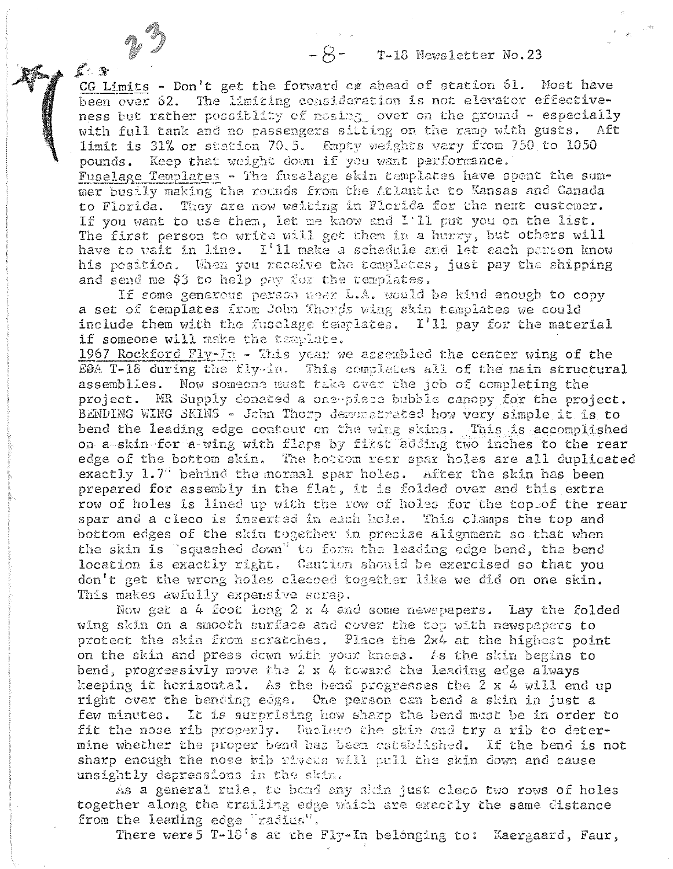$-S$ - T-18 Newsletter No.23

CG Limits - Don't get the forward cg ahead of station 61. Most have been over 62. The limiting consideration is not elevator effectiveness but rather possiblity of nosing over on the ground - especially with full tank and no passengers sitting on the ramp with gusts. Aft limit is 31% or station 70.5. Empty weights vary from 750 to 1050 pounds. Keep that weight down if you want performance. Fuselage Templates - The fuselage skin templates have spent the summer busily making the rounds from the Atlantic to Kansas and Canada to Florida. They are now weiting in Florida for the next custemer. If you want to use them, let me know and I'll put you on the list. The first person to write will get them in a hurry, but others will have to vait in line. I'll make a schedule and let each parson know his position. When you receive the templates, just pay the shipping and send me \$3 to help pay for the templates.

 $\mathbb{R}^4$  . At

If some generous person near L.A. would be kind enough to copy a set of templates from John Thorps wing skin templates we could include them with the fusclage templates. I'll pay for the material if someone will make the tamplate.

1967 Rockford Fly-In - This year we assembled the center wing of the E0A T-18 during the fly-in. This completes all of the main structural assemblies. Now someone must take over the job of completing the project. MR Supply conated a one-piece bubble canopy for the project. BENDING WING SKINS - John Thorp deronstrated how very simple it is to bend the leading edge contour on the wing skins. This is accomplished on a skin for a wing with flaps by first adding two inches to the rear edge of the bottom skin. The bottom rear spar holes are all duplicated exactly 1.7" behind the mormal spar holes. After the skin has been prepared for assembly in the flat, it is folded over and this extra row of holes is lined up with the row of holes for the top of the rear spar and a cleco is inserted in each hole. This clamps the top and bottom edges of the skin together in precise alignment so that when the skin is "squashed down" to form the leading edge bend, the bend location is exactly right. Caution should be exercised so that you don't get the wrong holes clessed together like we did on one skin. This makes awfully expensive scrap.

Now get a 4 foot long  $2 \times 4$  and some newspapers. Lay the folded wing skin on a smooth surface and cover the top with newspapers to protect the skin from scratches. Place the 2x4 at the highest point on the skin and press down with your knees. As the skin begins to bend, progressivly move the 2 x 4 toward the leading edge always keeping it herizontal. As the bend pregresses the 2 x 4 will end up right over the bending edge. One person can bend a skin in just a few minutes. It is surprising how sharp the bend must be in order to fit the nose rib properly. Uncless the skin and try a rib to determine whether the proper bend has been established. If the bend is not sharp enough the nose wib rivets will pull the skin down and cause unsightly depressions in the skin.

As a general rule, to bond any skin just cleco two rows of holes together along the trailing edge which are exactly the same distance from the leading edge "radius".

There were 5 T-18's at the Fly-In belonging to: Kaergaard, Faur,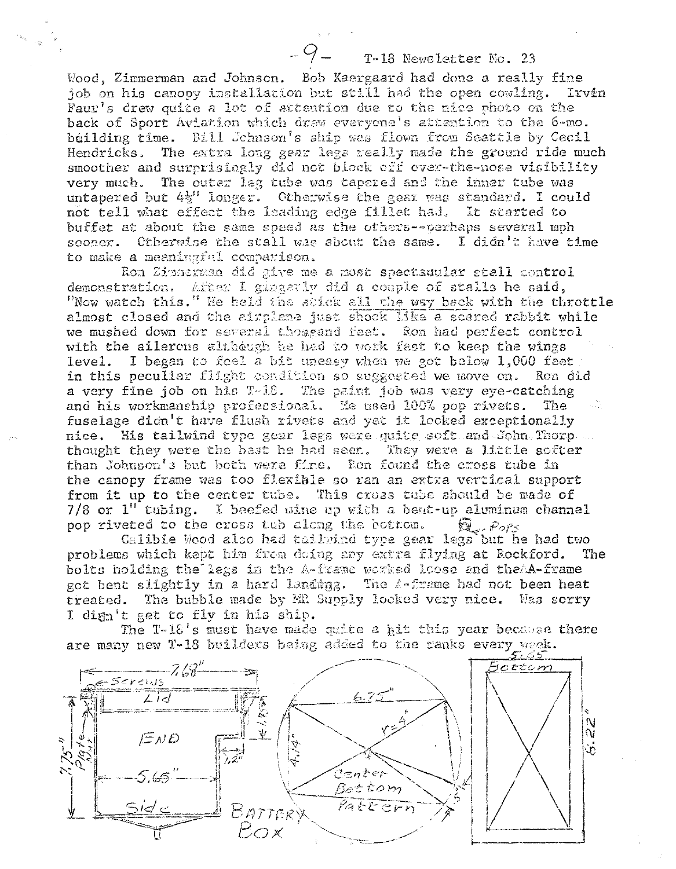## T-18 Newsletter No. 23

Wood, Zimmerman and Johnson. Bob Kaergaard had done a really fine job on his canopy installation but still had the open cowling. Irven Faur's drew quite a lot of attention due to the nice photo on the back of Sport Aviation which draw everyone's attention to the 6-mo. building time. Bill Johnson's ship was flown from Seattle by Cecil Hendricks. The extra long gear legs really made the ground ride much smoother and surprisingly did not block cff over-the-nose visibility very much. The outer leg tube was tapered and the inner tube was untapered but  $4\frac{1}{2}$ " longer. Otherwise the gear was standard. I could not tell what effect the leading edge fillet had. It started to buffet at about the same speed as the others--perhaps several mph sconer. Otherwise the stall was about the same. I didn't have time to make a meaningful comparison.

Ron Zimmerman did give me a most spectauular stall control demonstration. After I gingerly did a couple of stalls he said, "Now watch this." He held the stick all the way back with the throttle almost closed and the airplane just shock like a scared rabbit while we mushed down for several thosgand feet. Ron had perfect control with the ailerons although he had to work fast to keep the wings level. I began to feel a bit uneasy when we got below 1,000 feet in this peculiar flight condition so suggested we move on. Ron did a very fine job on his T-18. The paint job was very eye-catching and his workmanship profecsional. He used 100% pop rivets. The fuselage didn't have flush rivets and yet it looked exceptionally nice. His tailwind type gear legs were quite soft and John Thorp. thought they were the bast he had seen. They were a little softer than Johnson's but both were fire. Ron found the cross tube in the canopy frame was too flexible so ran an extra vertical support from it up to the center tube. This cross tube should be made of 7/8 or 1" tubing. I beefed mine up with a beut-up aluminum channel pop riveted to the cross tub along the bottom.  $\widehat{\boxtimes}_{\epsilon}$  Pors

Calibie Wood also had tailwind type gear legs but he had two problems which kept him from doing any extra flying at Rockford. The bolts holding the legs in the A-frame worked loose and theAA-frame got bent slightly in a hard landing. The A-frame had not been heat treated. The bubble made by MR Supply looked very nice. Was scrry I dign't get to fly in his ship.

The T-18's must have made quite a kit this year because there are many new T-18 builders being added to the ranks every week.